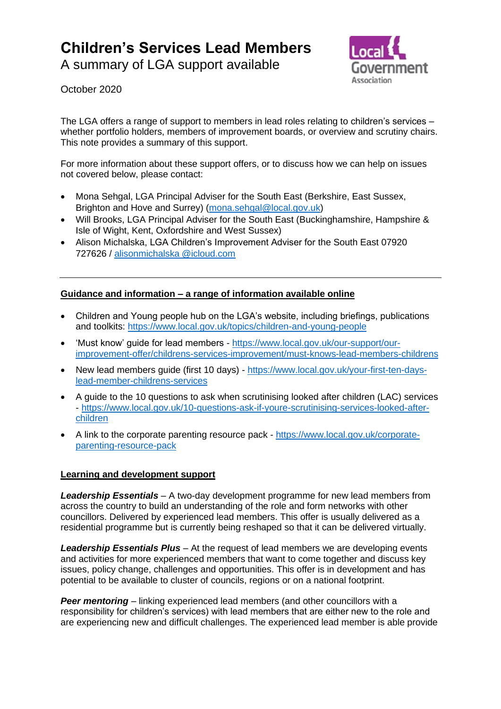## **Children's Services Lead Members**

A summary of LGA support available



October 2020

The LGA offers a range of support to members in lead roles relating to children's services – whether portfolio holders, members of improvement boards, or overview and scrutiny chairs. This note provides a summary of this support.

For more information about these support offers, or to discuss how we can help on issues not covered below, please contact:

- Mona Sehgal, LGA Principal Adviser for the South East (Berkshire, East Sussex, Brighton and Hove and Surrey) [\(mona.sehgal@local.gov.uk\)](mailto:mona.sehgal@local.gov.uk)
- Will Brooks, LGA Principal Adviser for the South East (Buckinghamshire, Hampshire & Isle of Wight, Kent, Oxfordshire and West Sussex)
- Alison Michalska, LGA Children's Improvement Adviser for the South East 07920 727626 / [alisonmichalska](mailto:alisonmichalska@icloud.com) @icloud.com

## **Guidance and information – a range of information available online**

- Children and Young people hub on the LGA's website, including briefings, publications and toolkits:<https://www.local.gov.uk/topics/children-and-young-people>
- 'Must know' guide for lead members [https://www.local.gov.uk/our-support/our](https://www.local.gov.uk/our-support/our-improvement-offer/childrens-services-improvement/must-knows-lead-members-childrens)[improvement-offer/childrens-services-improvement/must-knows-lead-members-childrens](https://www.local.gov.uk/our-support/our-improvement-offer/childrens-services-improvement/must-knows-lead-members-childrens)
- New lead members guide (first 10 days) [https://www.local.gov.uk/your-first-ten-days](https://www.local.gov.uk/your-first-ten-days-lead-member-childrens-services)[lead-member-childrens-services](https://www.local.gov.uk/your-first-ten-days-lead-member-childrens-services)
- A guide to the 10 questions to ask when scrutinising looked after children (LAC) services - [https://www.local.gov.uk/10-questions-ask-if-youre-scrutinising-services-looked-after](https://www.local.gov.uk/10-questions-ask-if-youre-scrutinising-services-looked-after-children)[children](https://www.local.gov.uk/10-questions-ask-if-youre-scrutinising-services-looked-after-children)
- A link to the corporate parenting resource pack [https://www.local.gov.uk/corporate](https://www.local.gov.uk/corporate-parenting-resource-pack)[parenting-resource-pack](https://www.local.gov.uk/corporate-parenting-resource-pack)

## **Learning and development support**

*Leadership Essentials* – A two-day development programme for new lead members from across the country to build an understanding of the role and form networks with other councillors. Delivered by experienced lead members. This offer is usually delivered as a residential programme but is currently being reshaped so that it can be delivered virtually.

*Leadership Essentials Plus* – At the request of lead members we are developing events and activities for more experienced members that want to come together and discuss key issues, policy change, challenges and opportunities. This offer is in development and has potential to be available to cluster of councils, regions or on a national footprint.

**Peer mentoring** – linking experienced lead members (and other councillors with a responsibility for children's services) with lead members that are either new to the role and are experiencing new and difficult challenges. The experienced lead member is able provide